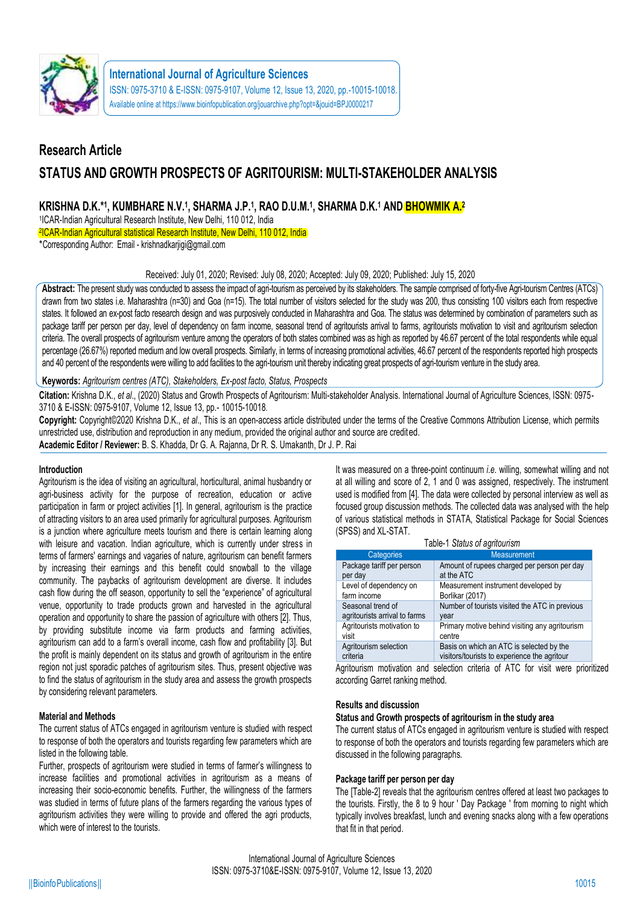

# **Research Article STATUS AND GROWTH PROSPECTS OF AGRITOURISM: MULTI-STAKEHOLDER ANALYSIS**

# **KRISHNA D.K.\* 1 , KUMBHARE N.V.<sup>1</sup> , SHARMA J.P.<sup>1</sup> , RAO D.U.M.<sup>1</sup> , SHARMA D.K.<sup>1</sup> AND BHOWMIK A.<sup>2</sup>**

1 ICAR-Indian Agricultural Research Institute, New Delhi, 110 012, India 2 ICAR-Indian Agricultural statistical Research Institute, New Delhi, 110 012, India \*Corresponding Author: Email - krishnadkarjigi@gmail.com

# Received: July 01, 2020; Revised: July 08, 2020; Accepted: July 09, 2020; Published: July 15, 2020

**Abstract:** The present study was conducted to assess the impact of agri-tourism as perceived by its stakeholders. The sample comprised of forty-five Agri-tourism Centres (ATCs) drawn from two states i.e. Maharashtra (n=30) and Goa (n=15). The total number of visitors selected for the study was 200, thus consisting 100 visitors each from respective states. It followed an ex-post facto research design and was purposively conducted in Maharashtra and Goa. The status was determined by combination of parameters such as package tariff per person per day, level of dependency on farm income, seasonal trend of agritourists arrival to farms, agritourists motivation to visit and agritourism selection criteria. The overall prospects of agritourism venture among the operators of both states combined was as high as reported by 46.67 percent of the total respondents while equal percentage (26.67%) reported medium and low overall prospects. Similarly, in terms of increasing promotional activities, 46.67 percent of the respondents reported high prospects and 40 percent of the respondents were willing to add facilities to the agri-tourism unit thereby indicating great prospects of agri-tourism venture in the study area.

## **Keywords:** *Agritourism centres (ATC), Stakeholders, Ex-post facto, Status, Prospects*

**Citation:** Krishna D.K., *et al*., (2020) Status and Growth Prospects of Agritourism: Multi-stakeholder Analysis. International Journal of Agriculture Sciences, ISSN: 0975- 3710 & E-ISSN: 0975-9107, Volume 12, Issue 13, pp.- 10015-10018.

**Copyright:** Copyright©2020 Krishna D.K., *et al*., This is an open-access article distributed under the terms of the Creative Commons Attribution License, which permits unrestricted use, distribution and reproduction in any medium, provided the original author and source are credited.

**Academic Editor / Reviewer:** B. S. Khadda, Dr G. A. Rajanna, Dr R. S. Umakanth, Dr J. P. Rai

## **Introduction**

Agritourism is the idea of visiting an agricultural, horticultural, animal husbandry or agri-business activity for the purpose of recreation, education or active participation in farm or project activities [1]. In general, agritourism is the practice of attracting visitors to an area used primarily for agricultural purposes. Agritourism is a junction where agriculture meets tourism and there is certain learning along with leisure and vacation. Indian agriculture, which is currently under stress in terms of farmers' earnings and vagaries of nature, agritourism can benefit farmers by increasing their earnings and this benefit could snowball to the village community. The paybacks of agritourism development are diverse. It includes cash flow during the off season, opportunity to sell the "experience" of agricultural venue, opportunity to trade products grown and harvested in the agricultural operation and opportunity to share the passion of agriculture with others [2]. Thus, by providing substitute income via farm products and farming activities, agritourism can add to a farm's overall income, cash flow and profitability [3]. But the profit is mainly dependent on its status and growth of agritourism in the entire region not just sporadic patches of agritourism sites. Thus, present objective was to find the status of agritourism in the study area and assess the growth prospects by considering relevant parameters.

## **Material and Methods**

The current status of ATCs engaged in agritourism venture is studied with respect to response of both the operators and tourists regarding few parameters which are listed in the following table.

Further, prospects of agritourism were studied in terms of farmer's willingness to increase facilities and promotional activities in agritourism as a means of increasing their socio-economic benefits. Further, the willingness of the farmers was studied in terms of future plans of the farmers regarding the various types of agritourism activities they were willing to provide and offered the agri products, which were of interest to the tourists.

It was measured on a three-point continuum *i.e*. willing, somewhat willing and not at all willing and score of 2, 1 and 0 was assigned, respectively. The instrument used is modified from [4]. The data were collected by personal interview as well as focused group discussion methods. The collected data was analysed with the help of various statistical methods in STATA, Statistical Package for Social Sciences (SPSS) and XL-STAT.

| Categories                    | <b>Measurement</b>                             |
|-------------------------------|------------------------------------------------|
| Package tariff per person     | Amount of rupees charged per person per day    |
| per day                       | at the ATC                                     |
| Level of dependency on        | Measurement instrument developed by            |
| farm income                   | Borlikar (2017)                                |
| Seasonal trend of             | Number of tourists visited the ATC in previous |
| agritourists arrival to farms | year                                           |
| Agritourists motivation to    | Primary motive behind visiting any agritourism |
| visit                         | centre                                         |
| Agritourism selection         | Basis on which an ATC is selected by the       |
| criteria                      | visitors/tourists to experience the agritour   |

Agritourism motivation and selection criteria of ATC for visit were prioritized according Garret ranking method.

## **Results and discussion**

# **Status and Growth prospects of agritourism in the study area**

The current status of ATCs engaged in agritourism venture is studied with respect to response of both the operators and tourists regarding few parameters which are discussed in the following paragraphs.

## **Package tariff per person per day**

The [Table-2] reveals that the agritourism centres offered at least two packages to the tourists. Firstly, the 8 to 9 hour ' Day Package ' from morning to night which typically involves breakfast, lunch and evening snacks along with a few operations that fit in that period.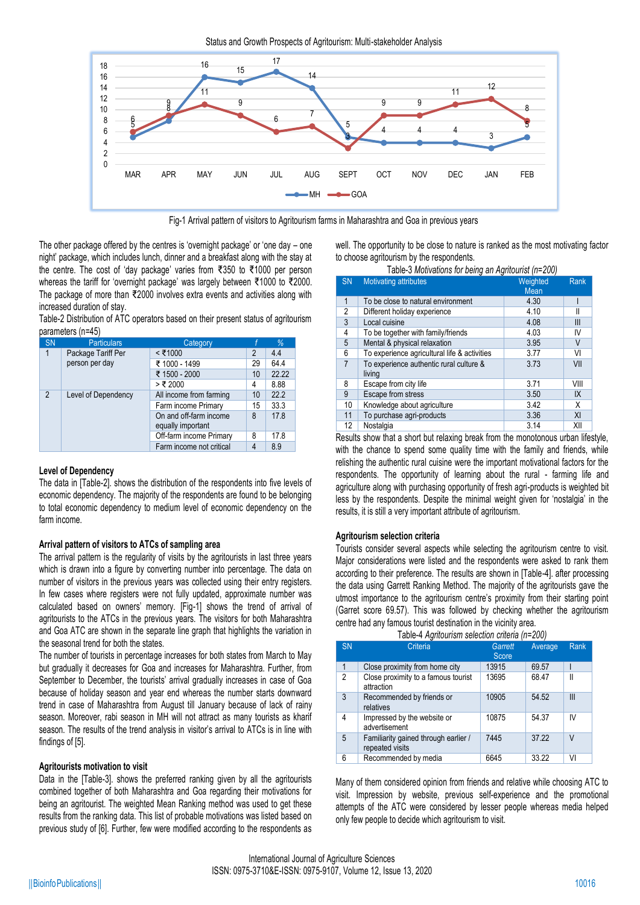Status and Growth Prospects of Agritourism: Multi-stakeholder Analysis



Fig-1 Arrival pattern of visitors to Agritourism farms in Maharashtra and Goa in previous years

The other package offered by the centres is 'overnight package' or 'one day – one night' package, which includes lunch, dinner and a breakfast along with the stay at the centre. The cost of 'day package' varies from ₹350 to ₹1000 per person whereas the tariff for 'overnight package' was largely between ₹1000 to ₹2000. The package of more than ₹2000 involves extra events and activities along with increased duration of stay.

Table-2 Distribution of ATC operators based on their present status of agritourism parameters (n=45)

| <b>SN</b>      | <b>Particulars</b>  | Category                 |                | %     |
|----------------|---------------------|--------------------------|----------------|-------|
| 1              | Package Tariff Per  | $<$ ₹1000                | $\overline{2}$ | 4.4   |
|                | person per day      | ₹ 1000 - 1499            | 29             | 64.4  |
|                |                     | ₹ 1500 - 2000            | 10             | 22.22 |
|                |                     | > ₹ 2000                 | 4              | 8.88  |
| $\overline{2}$ | Level of Dependency | All income from farming  | 10             | 22.2  |
|                |                     | Farm income Primary      | 15             | 33.3  |
|                |                     | On and off-farm income   | 8              | 17.8  |
|                |                     | equally important        |                |       |
|                |                     | Off-farm income Primary  | 8              | 17.8  |
|                |                     | Farm income not critical | 4              | 8.9   |

## **Level of Dependency**

The data in [Table-2]. shows the distribution of the respondents into five levels of economic dependency. The majority of the respondents are found to be belonging to total economic dependency to medium level of economic dependency on the farm income.

## **Arrival pattern of visitors to ATCs of sampling area**

The arrival pattern is the regularity of visits by the agritourists in last three years which is drawn into a figure by converting number into percentage. The data on number of visitors in the previous years was collected using their entry registers. In few cases where registers were not fully updated, approximate number was calculated based on owners' memory. [Fig-1] shows the trend of arrival of agritourists to the ATCs in the previous years. The visitors for both Maharashtra and Goa ATC are shown in the separate line graph that highlights the variation in the seasonal trend for both the states.

The number of tourists in percentage increases for both states from March to May but gradually it decreases for Goa and increases for Maharashtra. Further, from September to December, the tourists' arrival gradually increases in case of Goa because of holiday season and year end whereas the number starts downward trend in case of Maharashtra from August till January because of lack of rainy season. Moreover, rabi season in MH will not attract as many tourists as kharif season. The results of the trend analysis in visitor's arrival to ATCs is in line with findings of [5].

## **Agritourists motivation to visit**

Data in the [Table-3]. shows the preferred ranking given by all the agritourists combined together of both Maharashtra and Goa regarding their motivations for being an agritourist. The weighted Mean Ranking method was used to get these results from the ranking data. This list of probable motivations was listed based on previous study of [6]. Further, few were modified according to the respondents as well. The opportunity to be close to nature is ranked as the most motivating factor to choose agritourism by the respondents. Table-3 *Motivations for being an Agritourist (n=200)*

|                | $1$ abic-5 Molivations for being an Agniculist (11-200) |          |      |
|----------------|---------------------------------------------------------|----------|------|
| <b>SN</b>      | <b>Motivating attributes</b>                            | Weighted | Rank |
|                |                                                         | Mean     |      |
| $\mathbf{1}$   | To be close to natural environment                      | 4.30     |      |
| $\overline{c}$ | Different holiday experience                            | 4.10     | Ш    |
| 3              | Local cuisine                                           | 4.08     | Ш    |
| 4              | To be together with family/friends                      | 4.03     | IV   |
| 5              | Mental & physical relaxation                            | 3.95     | V    |
| 6              | To experience agricultural life & activities            | 3.77     | VI   |
| $\overline{7}$ | To experience authentic rural culture &                 | 3.73     | VII  |
|                | living                                                  |          |      |
| 8              | Escape from city life                                   | 3.71     | VIII |
| 9              | Escape from stress                                      | 3.50     | IX   |
| 10             | Knowledge about agriculture                             | 3.42     | X    |
| 11             | To purchase agri-products                               | 3.36     | XI   |
| 12             | Nostalgia                                               | 3.14     | XII  |

Results show that a short but relaxing break from the monotonous urban lifestyle, with the chance to spend some quality time with the family and friends, while relishing the authentic rural cuisine were the important motivational factors for the respondents. The opportunity of learning about the rural - farming life and agriculture along with purchasing opportunity of fresh agri-products is weighted bit less by the respondents. Despite the minimal weight given for 'nostalgia' in the results, it is still a very important attribute of agritourism.

#### **Agritourism selection criteria**

Tourists consider several aspects while selecting the agritourism centre to visit. Major considerations were listed and the respondents were asked to rank them according to their preference. The results are shown in [Table-4]. after processing the data using Garrett Ranking Method. The majority of the agritourists gave the utmost importance to the agritourism centre's proximity from their starting point (Garret score 69.57). This was followed by checking whether the agritourism centre had any famous tourist destination in the vicinity area.

|                | Table-4 Agritourism selection criteria (n=200)          |                  |         |              |
|----------------|---------------------------------------------------------|------------------|---------|--------------|
| <b>SN</b>      | Criteria                                                | Garrett<br>Score | Average | <b>Rank</b>  |
|                | Close proximity from home city                          | 13915            | 69.57   |              |
| $\mathfrak{p}$ | Close proximity to a famous tourist<br>attraction       | 13695            | 68.47   | $\mathsf{I}$ |
| 3              | Recommended by friends or<br>relatives                  | 10905            | 54.52   | Ш            |
| 4              | Impressed by the website or<br>advertisement            | 10875            | 54.37   | IV           |
| 5              | Familiarity gained through earlier /<br>repeated visits | 7445             | 37.22   | V            |
| 6              | Recommended by media                                    | 6645             | 33.22   | VI           |

Many of them considered opinion from friends and relative while choosing ATC to visit. Impression by website, previous self-experience and the promotional attempts of the ATC were considered by lesser people whereas media helped only few people to decide which agritourism to visit.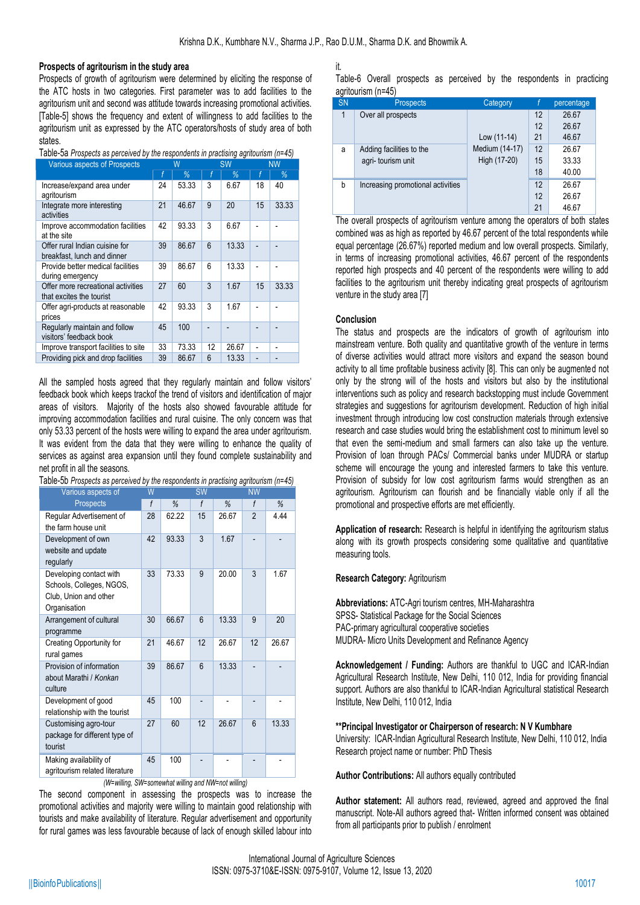#### **Prospects of agritourism in the study area**

Prospects of growth of agritourism were determined by eliciting the response of the ATC hosts in two categories. First parameter was to add facilities to the agritourism unit and second was attitude towards increasing promotional activities. [Table-5] shows the frequency and extent of willingness to add facilities to the agritourism unit as expressed by the ATC operators/hosts of study area of both states.

Table-5a *Prospects as perceived by the respondents in practising agritourism (n=45)*

| <b>Various aspects of Prospects</b>                            | W  |       | <b>SW</b> |       | <b>NW</b>      |       |
|----------------------------------------------------------------|----|-------|-----------|-------|----------------|-------|
|                                                                |    | %     | f         | %     | f              | %     |
| Increase/expand area under<br>agritourism                      | 24 | 53.33 | 3         | 6.67  | 18             | 40    |
| Integrate more interesting<br>activities                       | 21 | 46.67 | 9         | 20    | 15             | 33.33 |
| Improve accommodation facilities<br>at the site                | 42 | 93.33 | 3         | 6.67  |                |       |
| Offer rural Indian cuisine for<br>breakfast, lunch and dinner  | 39 | 86.67 | 6         | 13.33 |                |       |
| Provide better medical facilities<br>during emergency          | 39 | 86.67 | 6         | 13.33 | L              |       |
| Offer more recreational activities<br>that excites the tourist | 27 | 60    | 3         | 1.67  | 15             | 33.33 |
| Offer agri-products at reasonable<br>prices                    | 42 | 93.33 | 3         | 1.67  |                |       |
| Regularly maintain and follow<br>visitors' feedback book       | 45 | 100   |           |       |                |       |
| Improve transport facilities to site                           | 33 | 73.33 | 12        | 26.67 | $\overline{a}$ |       |
| Providing pick and drop facilities                             | 39 | 86.67 | 6         | 13.33 | ٠              |       |

All the sampled hosts agreed that they regularly maintain and follow visitors' feedback book which keeps trackof the trend of visitors and identification of major areas of visitors. Majority of the hosts also showed favourable attitude for improving accommodation facilities and rural cuisine. The only concern was that only 53.33 percent of the hosts were willing to expand the area under agritourism. It was evident from the data that they were willing to enhance the quality of services as against area expansion until they found complete sustainability and net profit in all the seasons.

| Various aspects of                                                                           | W  |       | <b>SW</b> |       | ΝW             |       |
|----------------------------------------------------------------------------------------------|----|-------|-----------|-------|----------------|-------|
| <b>Prospects</b>                                                                             | f  | %     | f         | %     | f              | %     |
| Regular Advertisement of<br>the farm house unit                                              | 28 | 62.22 | 15        | 26.67 | $\overline{2}$ | 4.44  |
| Development of own<br>website and update<br>regularly                                        | 42 | 93.33 | 3         | 1.67  |                |       |
| Developing contact with<br>Schools, Colleges, NGOS,<br>Club, Union and other<br>Organisation | 33 | 73.33 | 9         | 20.00 | 3              | 1.67  |
| Arrangement of cultural<br>programme                                                         | 30 | 66.67 | 6         | 13.33 | 9              | 20    |
| Creating Opportunity for<br>rural games                                                      | 21 | 46.67 | 12        | 26.67 | 12             | 26.67 |
| Provision of information<br>about Marathi / Konkan<br>culture                                | 39 | 86.67 | 6         | 13.33 |                |       |
| Development of good<br>relationship with the tourist                                         | 45 | 100   |           |       |                |       |
| Customising agro-tour<br>package for different type of<br>tourist                            | 27 | 60    | 12        | 26.67 | 6              | 13.33 |
| Making availability of<br>agritourism related literature                                     | 45 | 100   |           |       |                |       |

Table-5b *Prospects as perceived by the respondents in practising agritourism (n=45)*

*(W=willing, SW=somewhat willing and NW=not willing)*

The second component in assessing the prospects was to increase the promotional activities and majority were willing to maintain good relationship with tourists and make availability of literature. Regular advertisement and opportunity for rural games was less favourable because of lack of enough skilled labour into it.

Table-6 Overall prospects as perceived by the respondents in practicing agritourism (n=45)

| <b>SN</b> | <b>Prospects</b>                  | Category       |    | percentage |
|-----------|-----------------------------------|----------------|----|------------|
| 1         | Over all prospects                |                | 12 | 26.67      |
|           |                                   |                | 12 | 26.67      |
|           |                                   | Low (11-14)    | 21 | 46.67      |
| a         | Adding facilities to the          | Medium (14-17) | 12 | 26.67      |
|           | agri-tourism unit                 | High (17-20)   | 15 | 33.33      |
|           |                                   |                | 18 | 40.00      |
| b         | Increasing promotional activities |                | 12 | 26.67      |
|           |                                   |                | 12 | 26.67      |
|           |                                   |                | 21 | 46.67      |

The overall prospects of agritourism venture among the operators of both states combined was as high as reported by 46.67 percent of the total respondents while equal percentage (26.67%) reported medium and low overall prospects. Similarly, in terms of increasing promotional activities, 46.67 percent of the respondents reported high prospects and 40 percent of the respondents were willing to add facilities to the agritourism unit thereby indicating great prospects of agritourism venture in the study area [7]

#### **Conclusion**

The status and prospects are the indicators of growth of agritourism into mainstream venture. Both quality and quantitative growth of the venture in terms of diverse activities would attract more visitors and expand the season bound activity to all time profitable business activity [8]. This can only be augmented not only by the strong will of the hosts and visitors but also by the institutional interventions such as policy and research backstopping must include Government strategies and suggestions for agritourism development. Reduction of high initial investment through introducing low cost construction materials through extensive research and case studies would bring the establishment cost to minimum level so that even the semi-medium and small farmers can also take up the venture. Provision of loan through PACs/ Commercial banks under MUDRA or startup scheme will encourage the young and interested farmers to take this venture. Provision of subsidy for low cost agritourism farms would strengthen as an agritourism. Agritourism can flourish and be financially viable only if all the promotional and prospective efforts are met efficiently.

**Application of research:** Research is helpful in identifying the agritourism status along with its growth prospects considering some qualitative and quantitative measuring tools.

#### **Research Category:** Agritourism

**Abbreviations:** ATC-Agri tourism centres, MH-Maharashtra SPSS- Statistical Package for the Social Sciences PAC-primary agricultural cooperative societies MUDRA- Micro Units Development and Refinance Agency

**Acknowledgement / Funding:** Authors are thankful to UGC and ICAR-Indian Agricultural Research Institute, New Delhi, 110 012, India for providing financial support. Authors are also thankful to ICAR-Indian Agricultural statistical Research Institute, New Delhi, 110 012, India

**\*\*Principal Investigator or Chairperson of research: N V Kumbhare** 

University: ICAR-Indian Agricultural Research Institute, New Delhi, 110 012, India Research project name or number: PhD Thesis

**Author Contributions:** All authors equally contributed

**Author statement:** All authors read, reviewed, agreed and approved the final manuscript. Note-All authors agreed that- Written informed consent was obtained from all participants prior to publish / enrolment